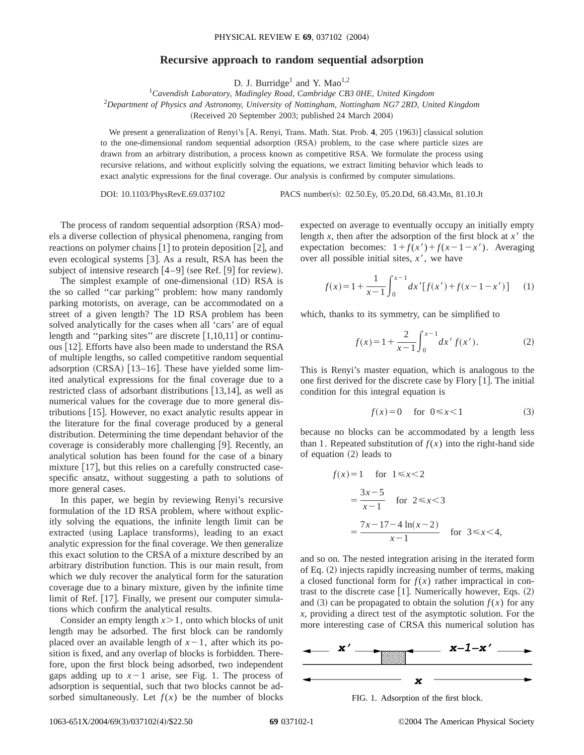## **Recursive approach to random sequential adsorption**

D. J. Burridge<sup>1</sup> and Y. Mao<sup>1,2</sup>

1 *Cavendish Laboratory, Madingley Road, Cambridge CB3 0HE, United Kingdom* 2 *Department of Physics and Astronomy, University of Nottingham, Nottingham NG7 2RD, United Kingdom* (Received 20 September 2003; published 24 March 2004)

We present a generalization of Renyi's [A. Renyi, Trans. Math. Stat. Prob. 4, 205 (1963)] classical solution to the one-dimensional random sequential adsorption (RSA) problem, to the case where particle sizes are drawn from an arbitrary distribution, a process known as competitive RSA. We formulate the process using recursive relations, and without explicitly solving the equations, we extract limiting behavior which leads to exact analytic expressions for the final coverage. Our analysis is confirmed by computer simulations.

DOI: 10.1103/PhysRevE.69.037102 PACS number(s): 02.50.Ey, 05.20.Dd, 68.43.Mn, 81.10.Jt

The process of random sequential adsorption (RSA) models a diverse collection of physical phenomena, ranging from reactions on polymer chains  $\lceil 1 \rceil$  to protein deposition  $\lceil 2 \rceil$ , and even ecological systems [3]. As a result, RSA has been the subject of intensive research  $[4-9]$  (see Ref. [9] for review).

The simplest example of one-dimensional (1D) RSA is the so called ''car parking'' problem: how many randomly parking motorists, on average, can be accommodated on a street of a given length? The 1D RSA problem has been solved analytically for the cases when all 'cars' are of equal length and "parking sites" are discrete  $[1,10,11]$  or continuous [12]. Efforts have also been made to understand the RSA of multiple lengths, so called competitive random sequential adsorption  $(CRSA)$  [13–16]. These have yielded some limited analytical expressions for the final coverage due to a restricted class of adsorbant distributions  $[13,14]$ , as well as numerical values for the coverage due to more general distributions  $[15]$ . However, no exact analytic results appear in the literature for the final coverage produced by a general distribution. Determining the time dependant behavior of the coverage is considerably more challenging [9]. Recently, an analytical solution has been found for the case of a binary mixture  $[17]$ , but this relies on a carefully constructed casespecific ansatz, without suggesting a path to solutions of more general cases.

In this paper, we begin by reviewing Renyi's recursive formulation of the 1D RSA problem, where without explicitly solving the equations, the infinite length limit can be extracted (using Laplace transforms), leading to an exact analytic expression for the final coverage. We then generalize this exact solution to the CRSA of a mixture described by an arbitrary distribution function. This is our main result, from which we duly recover the analytical form for the saturation coverage due to a binary mixture, given by the infinite time limit of Ref. [17]. Finally, we present our computer simulations which confirm the analytical results.

Consider an empty length  $x > 1$ , onto which blocks of unit length may be adsorbed. The first block can be randomly placed over an available length of  $x-1$ , after which its position is fixed, and any overlap of blocks is forbidden. Therefore, upon the first block being adsorbed, two independent gaps adding up to  $x-1$  arise, see Fig. 1. The process of adsorption is sequential, such that two blocks cannot be adsorbed simultaneously. Let  $f(x)$  be the number of blocks

expected on average to eventually occupy an initially empty length *x*, then after the adsorption of the first block at  $x^{\prime}$  the expectation becomes:  $1 + f(x') + f(x-1-x')$ . Averaging over all possible initial sites,  $x<sup>7</sup>$ , we have

$$
f(x) = 1 + \frac{1}{x - 1} \int_0^{x - 1} dx' [f(x') + f(x - 1 - x')] \tag{1}
$$

which, thanks to its symmetry, can be simplified to

$$
f(x) = 1 + \frac{2}{x - 1} \int_0^{x - 1} dx' f(x').
$$
 (2)

This is Renyi's master equation, which is analogous to the one first derived for the discrete case by Flory  $[1]$ . The initial condition for this integral equation is

$$
f(x)=0 \quad \text{for } 0 \le x < 1 \tag{3}
$$

because no blocks can be accommodated by a length less than 1. Repeated substitution of  $f(x)$  into the right-hand side of equation  $(2)$  leads to

$$
f(x)=1 \text{ for } 1 \le x < 2
$$
  
=  $\frac{3x-5}{x-1}$  for  $2 \le x < 3$   
=  $\frac{7x-17-4 \ln(x-2)}{x-1}$  for  $3 \le x < 4$ ,

and so on. The nested integration arising in the iterated form of Eq.  $(2)$  injects rapidly increasing number of terms, making a closed functional form for  $f(x)$  rather impractical in contrast to the discrete case  $[1]$ . Numerically however, Eqs.  $(2)$ and (3) can be propagated to obtain the solution  $f(x)$  for any *x*, providing a direct test of the asymptotic solution. For the more interesting case of CRSA this numerical solution has



FIG. 1. Adsorption of the first block.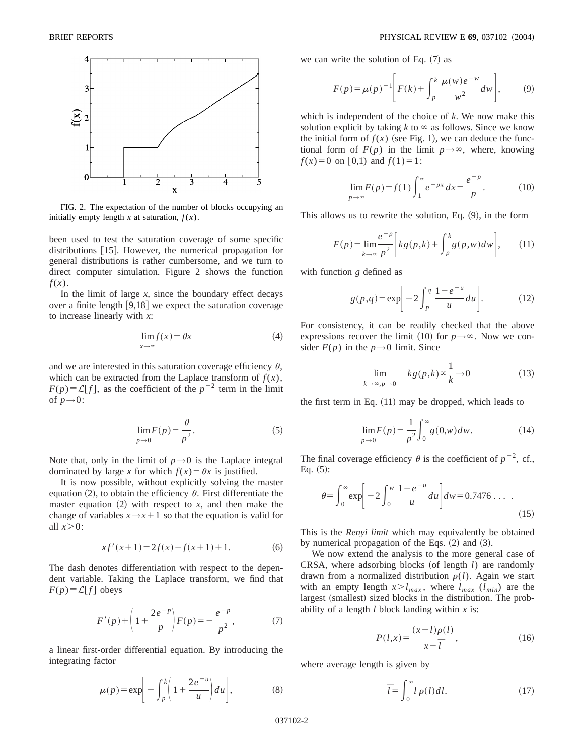

FIG. 2. The expectation of the number of blocks occupying an initially empty length  $x$  at saturation,  $f(x)$ .

been used to test the saturation coverage of some specific distributions [15]. However, the numerical propagation for general distributions is rather cumbersome, and we turn to direct computer simulation. Figure 2 shows the function *f*(*x*).

In the limit of large  $x$ , since the boundary effect decays over a finite length  $[9,18]$  we expect the saturation coverage to increase linearly with *x*:

$$
\lim_{x \to \infty} f(x) = \theta x \tag{4}
$$

and we are interested in this saturation coverage efficiency  $\theta$ , which can be extracted from the Laplace transform of  $f(x)$ ,  $F(p) \equiv \mathcal{L}[f]$ , as the coefficient of the  $p^{-2}$  term in the limit of  $p\rightarrow 0$ :

$$
\lim_{p \to 0} F(p) = \frac{\theta}{p^2}.
$$
\n(5)

Note that, only in the limit of  $p \rightarrow 0$  is the Laplace integral dominated by large *x* for which  $f(x) = \theta x$  is justified.

It is now possible, without explicitly solving the master equation (2), to obtain the efficiency  $\theta$ . First differentiate the master equation  $(2)$  with respect to *x*, and then make the change of variables  $x \rightarrow x+1$  so that the equation is valid for all  $x>0$ :

$$
xf'(x+1) = 2f(x) - f(x+1) + 1.
$$
 (6)

The dash denotes differentiation with respect to the dependent variable. Taking the Laplace transform, we find that  $F(p) \equiv \mathcal{L}[f]$  obeys

$$
F'(p) + \left(1 + \frac{2e^{-p}}{p}\right)F(p) = -\frac{e^{-p}}{p^2},\tag{7}
$$

a linear first-order differential equation. By introducing the integrating factor

$$
\mu(p) = \exp\bigg[-\int_p^k \bigg(1 + \frac{2e^{-u}}{u}\bigg) du\bigg],\tag{8}
$$

we can write the solution of Eq.  $(7)$  as

$$
F(p) = \mu(p)^{-1} \left[ F(k) + \int_{p}^{k} \frac{\mu(w)e^{-w}}{w^2} dw \right],
$$
 (9)

which is independent of the choice of *k*. We now make this solution explicit by taking  $k$  to  $\infty$  as follows. Since we know the initial form of  $f(x)$  (see Fig. 1), we can deduce the functional form of  $F(p)$  in the limit  $p \rightarrow \infty$ , where, knowing  $f(x)=0$  on [0,1) and  $f(1)=1$ :

$$
\lim_{p \to \infty} F(p) = f(1) \int_1^{\infty} e^{-px} dx = \frac{e^{-p}}{p}.
$$
 (10)

This allows us to rewrite the solution, Eq.  $(9)$ , in the form

$$
F(p) = \lim_{k \to \infty} \frac{e^{-p}}{p^2} \bigg[ kg(p,k) + \int_p^k g(p,w) dw \bigg], \qquad (11)
$$

with function *g* defined as

$$
g(p,q) = \exp\left[-2\int_{p}^{q} \frac{1-e^{-u}}{u} du\right].
$$
 (12)

For consistency, it can be readily checked that the above expressions recover the limit (10) for  $p \rightarrow \infty$ . Now we consider  $F(p)$  in the  $p \rightarrow 0$  limit. Since

$$
\lim_{k \to \infty, p \to 0} k g(p,k) \propto \frac{1}{k} \to 0
$$
 (13)

the first term in Eq.  $(11)$  may be dropped, which leads to

$$
\lim_{p \to 0} F(p) = \frac{1}{p^2} \int_0^\infty g(0, w) dw.
$$
 (14)

The final coverage efficiency  $\theta$  is the coefficient of  $p^{-2}$ , cf., Eq.  $(5)$ :

$$
\theta = \int_0^\infty \exp\left[-2\int_0^w \frac{1 - e^{-u}}{u} du\right] dw = 0.7476 \dots \quad .
$$
 (15)

This is the *Renyi limit* which may equivalently be obtained by numerical propagation of the Eqs.  $(2)$  and  $(3)$ .

We now extend the analysis to the more general case of  $CRSA$ , where adsorbing blocks (of length  $l$ ) are randomly drawn from a normalized distribution  $\rho(l)$ . Again we start with an empty length  $x > l_{max}$ , where  $l_{max}$  ( $l_{min}$ ) are the largest (smallest) sized blocks in the distribution. The probability of a length *l* block landing within *x* is:

$$
P(l,x) = \frac{(x-l)\rho(l)}{x-\overline{l}},\tag{16}
$$

where average length is given by

$$
\bar{l} = \int_0^\infty l \, \rho(l) \, dl. \tag{17}
$$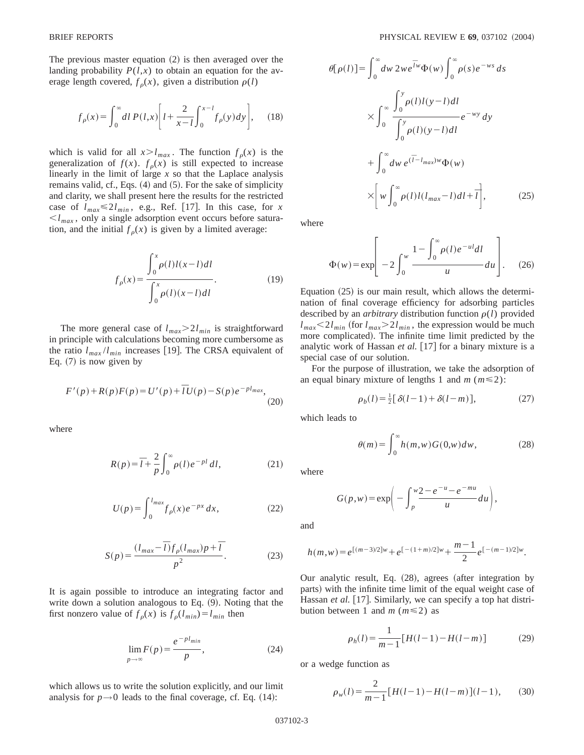The previous master equation  $(2)$  is then averaged over the landing probability  $P(l,x)$  to obtain an equation for the average length covered,  $f_{\rho}(x)$ , given a distribution  $\rho(l)$ 

$$
f_{\rho}(x) = \int_0^{\infty} dl \, P(l,x) \bigg[ l + \frac{2}{x-l} \int_0^{x-l} f_{\rho}(y) dy \bigg], \quad (18)
$$

which is valid for all  $x > l_{max}$ . The function  $f_{\rho}(x)$  is the generalization of  $f(x)$ .  $f_{\rho}(x)$  is still expected to increase linearly in the limit of large *x* so that the Laplace analysis remains valid, cf., Eqs.  $(4)$  and  $(5)$ . For the sake of simplicity and clarity, we shall present here the results for the restricted case of  $l_{max} \le 2l_{min}$ , e.g., Ref. [17]. In this case, for *x*  $\langle \xi \rangle_{max}$ , only a single adsorption event occurs before saturation, and the initial  $f_{\rho}(x)$  is given by a limited average:

$$
f_{\rho}(x) = \frac{\int_0^x \rho(l)l(x-l)dl}{\int_0^x \rho(l)(x-l)dl}.
$$
 (19)

The more general case of  $l_{max} > 2l_{min}$  is straightforward in principle with calculations becoming more cumbersome as the ratio  $l_{max}/l_{min}$  increases [19]. The CRSA equivalent of Eq.  $(7)$  is now given by

$$
F'(p) + R(p)F(p) = U'(p) + \bar{l}U(p) - S(p)e^{-pl_{max}},
$$
\n(20)

where

$$
R(p) = \overline{l} + \frac{2}{p} \int_0^\infty \rho(l) e^{-pl} dl,
$$
 (21)

$$
U(p) = \int_0^{l_{max}} f_p(x) e^{-px} dx,
$$
 (22)

$$
S(p) = \frac{(l_{max} - \overline{l})f_{\rho}(l_{max})p + \overline{l}}{p^2}.
$$
 (23)

It is again possible to introduce an integrating factor and write down a solution analogous to Eq.  $(9)$ . Noting that the first nonzero value of  $f_{\rho}(x)$  is  $f_{\rho}(l_{min}) = l_{min}$  then

$$
\lim_{p \to \infty} F(p) = \frac{e^{-p l_{min}}}{p},\tag{24}
$$

which allows us to write the solution explicitly, and our limit analysis for  $p \rightarrow 0$  leads to the final coverage, cf. Eq. (14):

$$
\theta[\rho(l)] = \int_0^\infty dw \, 2w e^{\overline{l}w} \Phi(w) \int_0^\infty \rho(s) e^{-ws} ds
$$

$$
\times \int_0^\infty \frac{\int_0^y \rho(l) l(y-l) dl}{\int_0^y \rho(l) (y-l) dl} e^{-wy} dy
$$

$$
+ \int_0^\infty dw \, e^{(\overline{l}-l_{max})w} \Phi(w)
$$

$$
\times \left[ w \int_0^\infty \rho(l) l(l_{max}-l) dl + \overline{l} \right], \tag{25}
$$

where

$$
\Phi(w) = \exp\left[-2\int_0^w \frac{1 - \int_0^\infty \rho(l)e^{-ul}dl}{u}du\right].
$$
 (26)

Equation  $(25)$  is our main result, which allows the determination of final coverage efficiency for adsorbing particles described by an *arbitrary* distribution function  $\rho(l)$  provided  $l_{max}$  < 2 $l_{min}$  (for  $l_{max}$  > 2 $l_{min}$ , the expression would be much more complicated). The infinite time limit predicted by the analytic work of Hassan *et al.* [17] for a binary mixture is a special case of our solution.

For the purpose of illustration, we take the adsorption of an equal binary mixture of lengths 1 and  $m$  ( $m \le 2$ ):

$$
\rho_b(l) = \frac{1}{2} [\delta(l-1) + \delta(l-m)], \qquad (27)
$$

which leads to

 $\theta(m) = \int_0^{\infty}$  $\int_{0}^{\infty} h(m, w) G(0, w) dw,$  (28)

where

$$
G(p, w) = \exp\bigg(-\int_p^w \frac{2 - e^{-u} - e^{-mu}}{u} du\bigg),\,
$$

and

$$
h(m, w) = e^{[(m-3)/2]w} + e^{[-(1+m)/2]w} + \frac{m-1}{2}e^{[-(m-1)/2]w}.
$$

Our analytic result, Eq.  $(28)$ , agrees (after integration by parts) with the infinite time limit of the equal weight case of Hassan *et al.* [17]. Similarly, we can specify a top hat distribution between 1 and  $m$  ( $m \le 2$ ) as

$$
\rho_h(l) = \frac{1}{m-1} [H(l-1) - H(l-m)] \tag{29}
$$

or a wedge function as

$$
\rho_w(l) = \frac{2}{m-1} \left[ H(l-1) - H(l-m) \right] (l-1),\tag{30}
$$